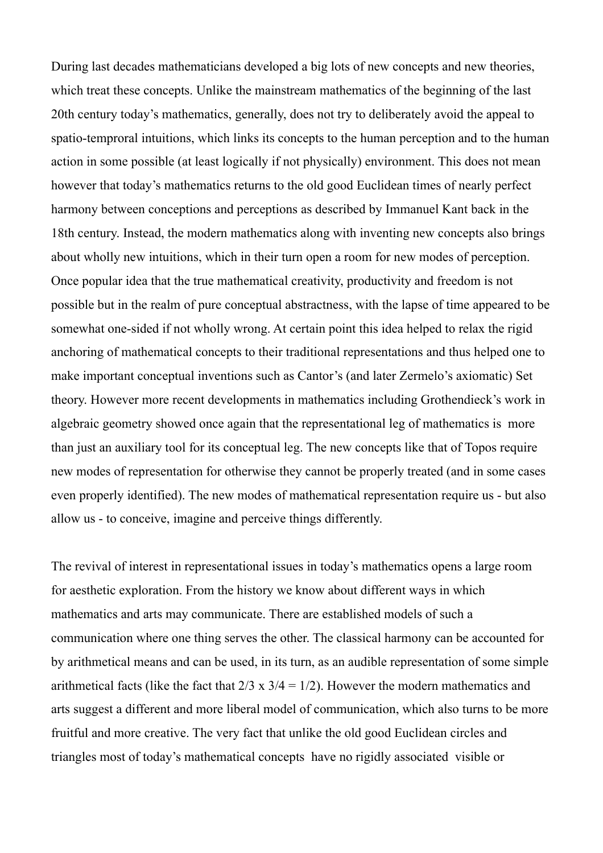During last decades mathematicians developed a big lots of new concepts and new theories, which treat these concepts. Unlike the mainstream mathematics of the beginning of the last 20th century today's mathematics, generally, does not try to deliberately avoid the appeal to spatio-temproral intuitions, which links its concepts to the human perception and to the human action in some possible (at least logically if not physically) environment. This does not mean however that today's mathematics returns to the old good Euclidean times of nearly perfect harmony between conceptions and perceptions as described by Immanuel Kant back in the 18th century. Instead, the modern mathematics along with inventing new concepts also brings about wholly new intuitions, which in their turn open a room for new modes of perception. Once popular idea that the true mathematical creativity, productivity and freedom is not possible but in the realm of pure conceptual abstractness, with the lapse of time appeared to be somewhat one-sided if not wholly wrong. At certain point this idea helped to relax the rigid anchoring of mathematical concepts to their traditional representations and thus helped one to make important conceptual inventions such as Cantor's (and later Zermelo's axiomatic) Set theory. However more recent developments in mathematics including Grothendieck's work in algebraic geometry showed once again that the representational leg of mathematics is more than just an auxiliary tool for its conceptual leg. The new concepts like that of Topos require new modes of representation for otherwise they cannot be properly treated (and in some cases even properly identified). The new modes of mathematical representation require us - but also allow us - to conceive, imagine and perceive things differently.

The revival of interest in representational issues in today's mathematics opens a large room for aesthetic exploration. From the history we know about different ways in which mathematics and arts may communicate. There are established models of such a communication where one thing serves the other. The classical harmony can be accounted for by arithmetical means and can be used, in its turn, as an audible representation of some simple arithmetical facts (like the fact that  $2/3 \times 3/4 = 1/2$ ). However the modern mathematics and arts suggest a different and more liberal model of communication, which also turns to be more fruitful and more creative. The very fact that unlike the old good Euclidean circles and triangles most of today's mathematical concepts have no rigidly associated visible or